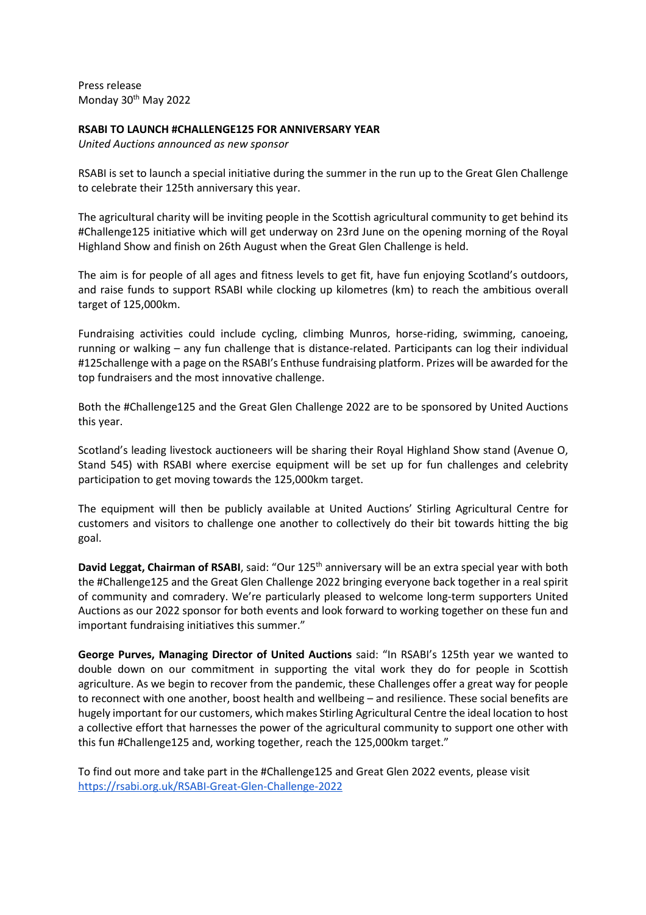Press release Monday 30<sup>th</sup> May 2022

# **RSABI TO LAUNCH #CHALLENGE125 FOR ANNIVERSARY YEAR**

*United Auctions announced as new sponsor*

RSABI is set to launch a special initiative during the summer in the run up to the Great Glen Challenge to celebrate their 125th anniversary this year.

The agricultural charity will be inviting people in the Scottish agricultural community to get behind its #Challenge125 initiative which will get underway on 23rd June on the opening morning of the Royal Highland Show and finish on 26th August when the Great Glen Challenge is held.

The aim is for people of all ages and fitness levels to get fit, have fun enjoying Scotland's outdoors, and raise funds to support RSABI while clocking up kilometres (km) to reach the ambitious overall target of 125,000km.

Fundraising activities could include cycling, climbing Munros, horse-riding, swimming, canoeing, running or walking – any fun challenge that is distance-related. Participants can log their individual #125challenge with a page on the RSABI's Enthuse fundraising platform. Prizes will be awarded for the top fundraisers and the most innovative challenge.

Both the #Challenge125 and the Great Glen Challenge 2022 are to be sponsored by United Auctions this year.

Scotland's leading livestock auctioneers will be sharing their Royal Highland Show stand (Avenue O, Stand 545) with RSABI where exercise equipment will be set up for fun challenges and celebrity participation to get moving towards the 125,000km target.

The equipment will then be publicly available at United Auctions' Stirling Agricultural Centre for customers and visitors to challenge one another to collectively do their bit towards hitting the big goal.

**David Leggat, Chairman of RSABI**, said: "Our 125<sup>th</sup> anniversary will be an extra special year with both the #Challenge125 and the Great Glen Challenge 2022 bringing everyone back together in a real spirit of community and comradery. We're particularly pleased to welcome long-term supporters United Auctions as our 2022 sponsor for both events and look forward to working together on these fun and important fundraising initiatives this summer."

**George Purves, Managing Director of United Auctions** said: "In RSABI's 125th year we wanted to double down on our commitment in supporting the vital work they do for people in Scottish agriculture. As we begin to recover from the pandemic, these Challenges offer a great way for people to reconnect with one another, boost health and wellbeing – and resilience. These social benefits are hugely important for our customers, which makes Stirling Agricultural Centre the ideal location to host a collective effort that harnesses the power of the agricultural community to support one other with this fun #Challenge125 and, working together, reach the 125,000km target."

To find out more and take part in the #Challenge125 and Great Glen 2022 events, please visit https://rsabi.org.uk/RSABI-Great-Glen-Challenge-2022